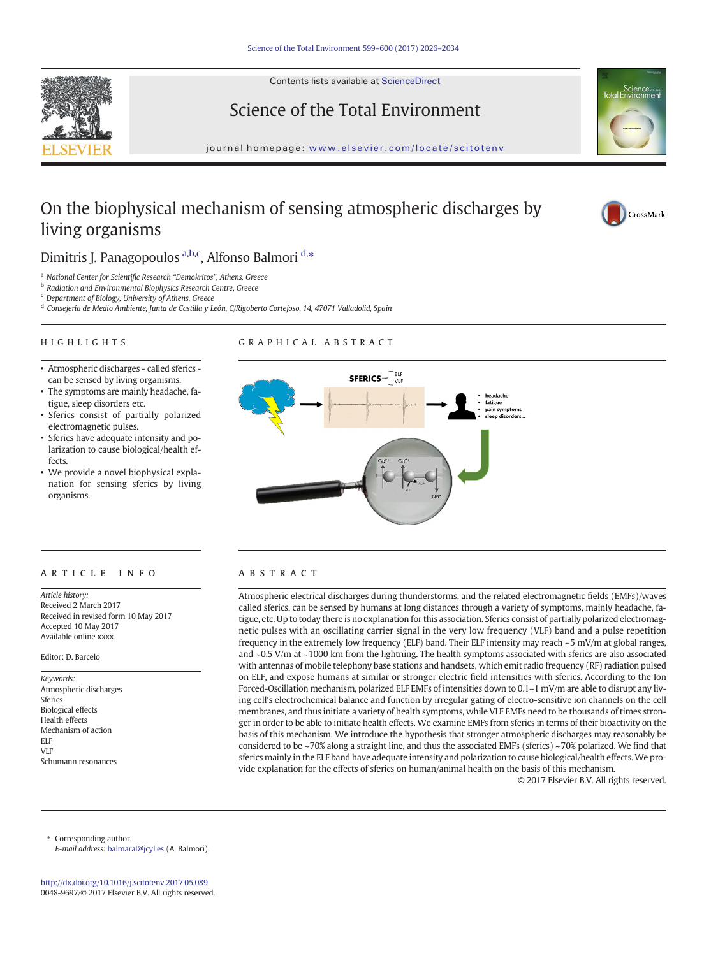Contents lists available at ScienceDirect





# Science of the Total Environment

journal homepage: <www.elsevier.com/locate/scitotenv>

## On the biophysical mechanism of sensing atmospheric discharges by living organisms



### Dimitris J. Panagopoulos a,b,c, Alfonso Balmori d,\*

<sup>a</sup> National Center for Scientific Research "Demokritos", Athens, Greece

<sup>b</sup> Radiation and Environmental Biophysics Research Centre, Greece

<sup>c</sup> Department of Biology, University of Athens, Greece

<sup>d</sup> Consejería de Medio Ambiente, Junta de Castilla y León, C/Rigoberto Cortejoso, 14, 47071 Valladolid, Spain

### HIGHLIGHTS

#### GRAPHICAL ABSTRACT

- Atmospheric discharges called sferics can be sensed by living organisms.
- The symptoms are mainly headache, fatigue, sleep disorders etc.
- Sferics consist of partially polarized electromagnetic pulses.
- Sferics have adequate intensity and polarization to cause biological/health effects.
- We provide a novel biophysical explanation for sensing sferics by living organisms.



#### article info abstract

Article history: Received 2 March 2017 Received in revised form 10 May 2017 Accepted 10 May 2017 Available online xxxx

Editor: D. Barcelo

Keywords: Atmospheric discharges **Sferics** Biological effects Health effects Mechanism of action ELF **VLF** Schumann resonances

Atmospheric electrical discharges during thunderstorms, and the related electromagnetic fields (EMFs)/waves called sferics, can be sensed by humans at long distances through a variety of symptoms, mainly headache, fatigue, etc. Up to today there is no explanation for this association. Sferics consist of partially polarized electromagnetic pulses with an oscillating carrier signal in the very low frequency (VLF) band and a pulse repetition frequency in the extremely low frequency (ELF) band. Their ELF intensity may reach ~5 mV/m at global ranges, and ~0.5 V/m at ~1000 km from the lightning. The health symptoms associated with sferics are also associated with antennas of mobile telephony base stations and handsets, which emit radio frequency (RF) radiation pulsed on ELF, and expose humans at similar or stronger electric field intensities with sferics. According to the Ion Forced-Oscillation mechanism, polarized ELF EMFs of intensities down to 0.1–1 mV/m are able to disrupt any living cell's electrochemical balance and function by irregular gating of electro-sensitive ion channels on the cell membranes, and thus initiate a variety of health symptoms, while VLF EMFs need to be thousands of times stronger in order to be able to initiate health effects. We examine EMFs from sferics in terms of their bioactivity on the basis of this mechanism. We introduce the hypothesis that stronger atmospheric discharges may reasonably be considered to be  $\sim$  70% along a straight line, and thus the associated EMFs (sferics)  $\sim$  70% polarized. We find that sferics mainly in the ELF band have adequate intensity and polarization to cause biological/health effects. We provide explanation for the effects of sferics on human/animal health on the basis of this mechanism.

© 2017 Elsevier B.V. All rights reserved.

⁎ Corresponding author. E-mail address: [balmaral@jcyl.es](mailto:balmaral@jcyl.es) (A. Balmori).

<http://dx.doi.org/10.1016/j.scitotenv.2017.05.089> 0048-9697/© 2017 Elsevier B.V. All rights reserved.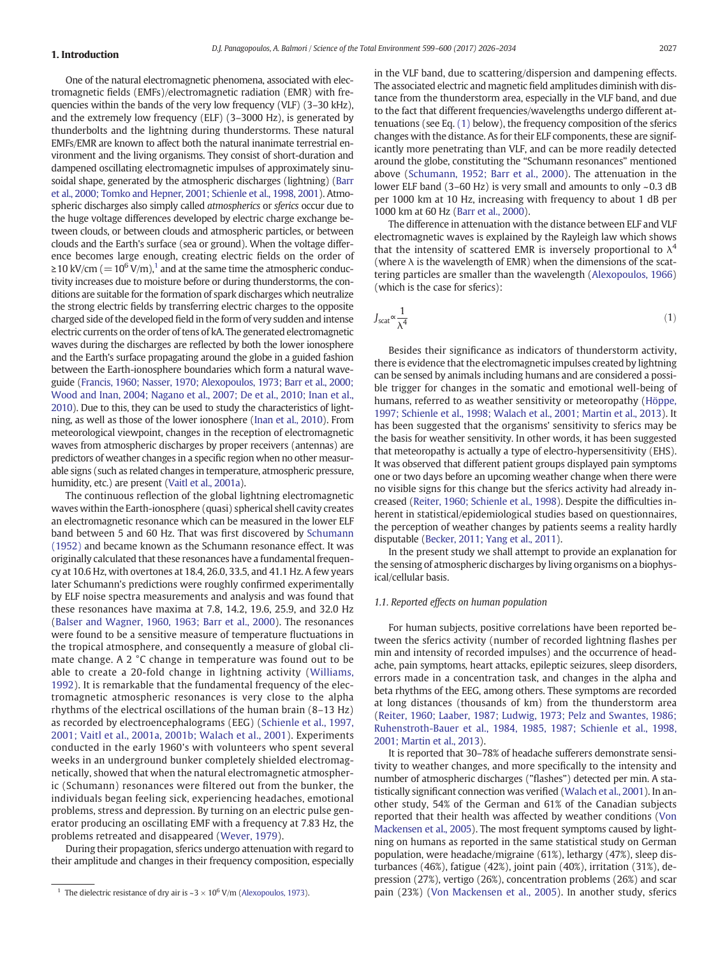#### <span id="page-1-0"></span>1. Introduction

One of the natural electromagnetic phenomena, associated with electromagnetic fields (EMFs)/electromagnetic radiation (EMR) with frequencies within the bands of the very low frequency (VLF) (3–30 kHz), and the extremely low frequency (ELF) (3–3000 Hz), is generated by thunderbolts and the lightning during thunderstorms. These natural EMFs/EMR are known to affect both the natural inanimate terrestrial environment and the living organisms. They consist of short-duration and dampened oscillating electromagnetic impulses of approximately sinusoidal shape, generated by the atmospheric discharges (lightning) ([Barr](#page-7-0) [et al., 2000; Tomko and Hepner, 2001; Schienle et al., 1998, 2001](#page-7-0)). Atmospheric discharges also simply called atmospherics or sferics occur due to the huge voltage differences developed by electric charge exchange between clouds, or between clouds and atmospheric particles, or between clouds and the Earth's surface (sea or ground). When the voltage difference becomes large enough, creating electric fields on the order of  $\geq$  10 kV/cm (=10<sup>6</sup> V/m),<sup>1</sup> and at the same time the atmospheric conductivity increases due to moisture before or during thunderstorms, the conditions are suitable for the formation of spark discharges which neutralize the strong electric fields by transferring electric charges to the opposite charged side of the developed field in the form of very sudden and intense electric currents on the order of tens of kA. The generated electromagnetic waves during the discharges are reflected by both the lower ionosphere and the Earth's surface propagating around the globe in a guided fashion between the Earth-ionosphere boundaries which form a natural waveguide [\(Francis, 1960; Nasser, 1970; Alexopoulos, 1973; Barr et al., 2000;](#page-7-0) [Wood and Inan, 2004; Nagano et al., 2007; De et al., 2010; Inan et al.,](#page-7-0) [2010](#page-7-0)). Due to this, they can be used to study the characteristics of lightning, as well as those of the lower ionosphere [\(Inan et al., 2010\)](#page-7-0). From meteorological viewpoint, changes in the reception of electromagnetic waves from atmospheric discharges by proper receivers (antennas) are predictors of weather changes in a specific region when no other measurable signs (such as related changes in temperature, atmospheric pressure, humidity, etc.) are present ([Vaitl et al., 2001a](#page-8-0)).

The continuous reflection of the global lightning electromagnetic waves within the Earth-ionosphere (quasi) spherical shell cavity creates an electromagnetic resonance which can be measured in the lower ELF band between 5 and 60 Hz. That was first discovered by [Schumann](#page-8-0) [\(1952\)](#page-8-0) and became known as the Schumann resonance effect. It was originally calculated that these resonances have a fundamental frequency at 10.6 Hz, with overtones at 18.4, 26.0, 33.5, and 41.1 Hz. A few years later Schumann's predictions were roughly confirmed experimentally by ELF noise spectra measurements and analysis and was found that these resonances have maxima at 7.8, 14.2, 19.6, 25.9, and 32.0 Hz [\(Balser and Wagner, 1960, 1963; Barr et al., 2000](#page-7-0)). The resonances were found to be a sensitive measure of temperature fluctuations in the tropical atmosphere, and consequently a measure of global climate change. A 2 °C change in temperature was found out to be able to create a 20-fold change in lightning activity [\(Williams,](#page-8-0) [1992](#page-8-0)). It is remarkable that the fundamental frequency of the electromagnetic atmospheric resonances is very close to the alpha rhythms of the electrical oscillations of the human brain (8–13 Hz) as recorded by electroencephalograms (EEG) ([Schienle et al., 1997,](#page-8-0) [2001; Vaitl et al., 2001a, 2001b; Walach et al., 2001\)](#page-8-0). Experiments conducted in the early 1960's with volunteers who spent several weeks in an underground bunker completely shielded electromagnetically, showed that when the natural electromagnetic atmospheric (Schumann) resonances were filtered out from the bunker, the individuals began feeling sick, experiencing headaches, emotional problems, stress and depression. By turning on an electric pulse generator producing an oscillating EMF with a frequency at 7.83 Hz, the problems retreated and disappeared ([Wever, 1979](#page-8-0)).

During their propagation, sferics undergo attenuation with regard to their amplitude and changes in their frequency composition, especially in the VLF band, due to scattering/dispersion and dampening effects. The associated electric and magnetic field amplitudes diminish with distance from the thunderstorm area, especially in the VLF band, and due to the fact that different frequencies/wavelengths undergo different attenuations (see Eq. (1) below), the frequency composition of the sferics changes with the distance. As for their ELF components, these are significantly more penetrating than VLF, and can be more readily detected

around the globe, constituting the "Schumann resonances" mentioned above [\(Schumann, 1952; Barr et al., 2000](#page-8-0)). The attenuation in the lower ELF band (3–60 Hz) is very small and amounts to only  $\sim$ 0.3 dB per 1000 km at 10 Hz, increasing with frequency to about 1 dB per 1000 km at 60 Hz [\(Barr et al., 2000\)](#page-7-0).

The difference in attenuation with the distance between ELF and VLF electromagnetic waves is explained by the Rayleigh law which shows that the intensity of scattered EMR is inversely proportional to  $\lambda^4$ (where  $\lambda$  is the wavelength of EMR) when the dimensions of the scattering particles are smaller than the wavelength [\(Alexopoulos, 1966](#page-7-0)) (which is the case for sferics):

$$
J_{\text{scat}} \propto \frac{1}{\lambda^4} \tag{1}
$$

Besides their significance as indicators of thunderstorm activity, there is evidence that the electromagnetic impulses created by lightning can be sensed by animals including humans and are considered a possible trigger for changes in the somatic and emotional well-being of humans, referred to as weather sensitivity or meteoropathy ([Höppe,](#page-7-0) [1997; Schienle et al., 1998; Walach et al., 2001; Martin et al., 2013\)](#page-7-0). It has been suggested that the organisms' sensitivity to sferics may be the basis for weather sensitivity. In other words, it has been suggested that meteoropathy is actually a type of electro-hypersensitivity (EHS). It was observed that different patient groups displayed pain symptoms one or two days before an upcoming weather change when there were no visible signs for this change but the sferics activity had already increased [\(Reiter, 1960; Schienle et al., 1998\)](#page-8-0). Despite the difficulties inherent in statistical/epidemiological studies based on questionnaires, the perception of weather changes by patients seems a reality hardly disputable [\(Becker, 2011; Yang et al., 2011\)](#page-7-0).

In the present study we shall attempt to provide an explanation for the sensing of atmospheric discharges by living organisms on a biophysical/cellular basis.

#### 1.1. Reported effects on human population

For human subjects, positive correlations have been reported between the sferics activity (number of recorded lightning flashes per min and intensity of recorded impulses) and the occurrence of headache, pain symptoms, heart attacks, epileptic seizures, sleep disorders, errors made in a concentration task, and changes in the alpha and beta rhythms of the EEG, among others. These symptoms are recorded at long distances (thousands of km) from the thunderstorm area [\(Reiter, 1960; Laaber, 1987; Ludwig, 1973; Pelz and Swantes, 1986;](#page-8-0) [Ruhenstroth-Bauer et al., 1984, 1985, 1987; Schienle et al., 1998,](#page-8-0) [2001; Martin et al., 2013\)](#page-8-0).

It is reported that 30–78% of headache sufferers demonstrate sensitivity to weather changes, and more specifically to the intensity and number of atmospheric discharges ("flashes") detected per min. A statistically significant connection was verified ([Walach et al., 2001](#page-8-0)). In another study, 54% of the German and 61% of the Canadian subjects reported that their health was affected by weather conditions ([Von](#page-8-0) [Mackensen et al., 2005](#page-8-0)). The most frequent symptoms caused by lightning on humans as reported in the same statistical study on German population, were headache/migraine (61%), lethargy (47%), sleep disturbances (46%), fatigue (42%), joint pain (40%), irritation (31%), depression (27%), vertigo (26%), concentration problems (26%) and scar <sup>1</sup> The dielectric resistance of dry air is ~3  $\times$  10<sup>6</sup> V/m (Alexopoulos, 1973). pain (23%) ([Von Mackensen et al., 2005](#page-8-0)). In another study, sferics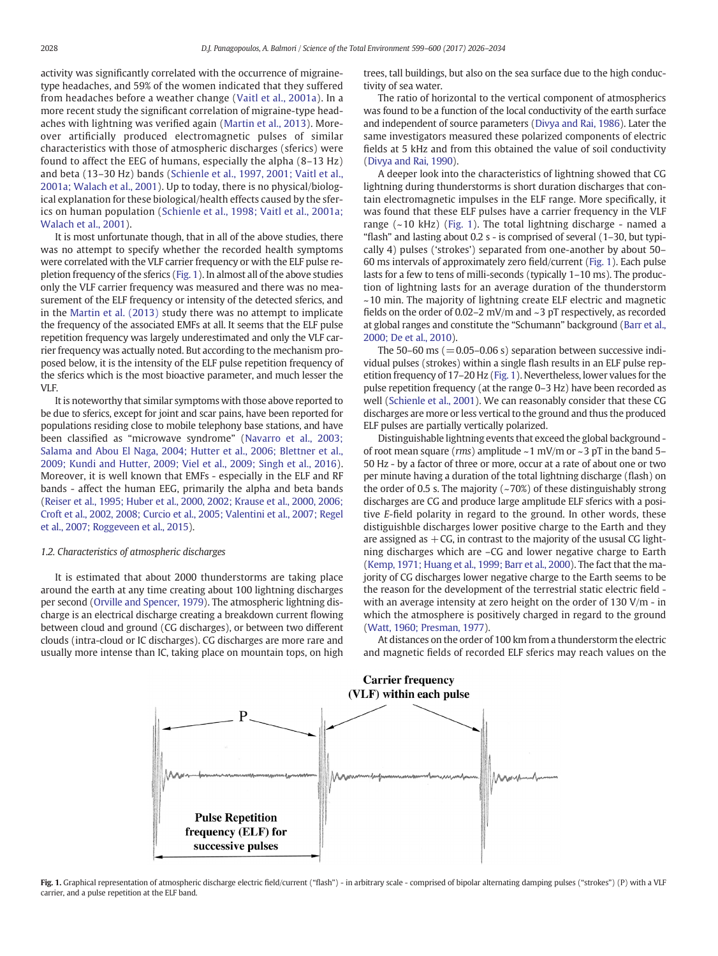activity was significantly correlated with the occurrence of migrainetype headaches, and 59% of the women indicated that they suffered from headaches before a weather change ([Vaitl et al., 2001a\)](#page-8-0). In a more recent study the significant correlation of migraine-type headaches with lightning was verified again ([Martin et al., 2013](#page-7-0)). Moreover artificially produced electromagnetic pulses of similar characteristics with those of atmospheric discharges (sferics) were found to affect the EEG of humans, especially the alpha (8–13 Hz) and beta (13–30 Hz) bands ([Schienle et al., 1997, 2001; Vaitl et al.,](#page-8-0) [2001a; Walach et al., 2001\)](#page-8-0). Up to today, there is no physical/biological explanation for these biological/health effects caused by the sferics on human population ([Schienle et al., 1998; Vaitl et al., 2001a;](#page-8-0) [Walach et al., 2001](#page-8-0)).

It is most unfortunate though, that in all of the above studies, there was no attempt to specify whether the recorded health symptoms were correlated with the VLF carrier frequency or with the ELF pulse repletion frequency of the sferics (Fig. 1). In almost all of the above studies only the VLF carrier frequency was measured and there was no measurement of the ELF frequency or intensity of the detected sferics, and in the [Martin et al. \(2013\)](#page-7-0) study there was no attempt to implicate the frequency of the associated EMFs at all. It seems that the ELF pulse repetition frequency was largely underestimated and only the VLF carrier frequency was actually noted. But according to the mechanism proposed below, it is the intensity of the ELF pulse repetition frequency of the sferics which is the most bioactive parameter, and much lesser the VLF.

It is noteworthy that similar symptoms with those above reported to be due to sferics, except for joint and scar pains, have been reported for populations residing close to mobile telephony base stations, and have been classified as "microwave syndrome" [\(Navarro et al., 2003;](#page-7-0) [Salama and Abou El Naga, 2004; Hutter et al., 2006; Blettner et al.,](#page-7-0) [2009; Kundi and Hutter, 2009; Viel et al., 2009; Singh et al., 2016](#page-7-0)). Moreover, it is well known that EMFs - especially in the ELF and RF bands - affect the human EEG, primarily the alpha and beta bands [\(Reiser et al., 1995; Huber et al., 2000, 2002; Krause et al., 2000, 2006;](#page-8-0) [Croft et al., 2002, 2008; Curcio et al., 2005; Valentini et al., 2007; Regel](#page-8-0) [et al., 2007; Roggeveen et al., 2015](#page-8-0)).

#### 1.2. Characteristics of atmospheric discharges

It is estimated that about 2000 thunderstorms are taking place around the earth at any time creating about 100 lightning discharges per second [\(Orville and Spencer, 1979\)](#page-7-0). The atmospheric lightning discharge is an electrical discharge creating a breakdown current flowing between cloud and ground (CG discharges), or between two different clouds (intra-cloud or IC discharges). CG discharges are more rare and usually more intense than IC, taking place on mountain tops, on high trees, tall buildings, but also on the sea surface due to the high conductivity of sea water.

The ratio of horizontal to the vertical component of atmospherics was found to be a function of the local conductivity of the earth surface and independent of source parameters [\(Divya and Rai, 1986](#page-7-0)). Later the same investigators measured these polarized components of electric fields at 5 kHz and from this obtained the value of soil conductivity [\(Divya and Rai, 1990\)](#page-7-0).

A deeper look into the characteristics of lightning showed that CG lightning during thunderstorms is short duration discharges that contain electromagnetic impulses in the ELF range. More specifically, it was found that these ELF pulses have a carrier frequency in the VLF range (~10 kHz) (Fig. 1). The total lightning discharge - named a "flash" and lasting about 0.2 s - is comprised of several (1–30, but typically 4) pulses ('strokes') separated from one-another by about 50– 60 ms intervals of approximately zero field/current (Fig. 1). Each pulse lasts for a few to tens of milli-seconds (typically 1–10 ms). The production of lightning lasts for an average duration of the thunderstorm ~10 min. The majority of lightning create ELF electric and magnetic fields on the order of 0.02–2 mV/m and ~3 pT respectively, as recorded at global ranges and constitute the "Schumann" background ([Barr et al.,](#page-7-0) [2000; De et al., 2010\)](#page-7-0).

The 50–60 ms  $(=0.05-0.06 s)$  separation between successive individual pulses (strokes) within a single flash results in an ELF pulse repetition frequency of 17–20 Hz (Fig. 1). Nevertheless, lower values for the pulse repetition frequency (at the range 0–3 Hz) have been recorded as well ([Schienle et al., 2001](#page-8-0)). We can reasonably consider that these CG discharges are more or less vertical to the ground and thus the produced ELF pulses are partially vertically polarized.

Distinguishable lightning events that exceed the global background of root mean square (*rms*) amplitude  $\sim$  1 mV/m or  $\sim$  3 pT in the band 5– 50 Hz - by a factor of three or more, occur at a rate of about one or two per minute having a duration of the total lightning discharge (flash) on the order of 0.5 s. The majority  $(-70%)$  of these distinguishably strong discharges are CG and produce large amplitude ELF sferics with a positive E-field polarity in regard to the ground. In other words, these distiguishble discharges lower positive charge to the Earth and they are assigned as  $+CG$ , in contrast to the majority of the ususal CG lightning discharges which are –CG and lower negative charge to Earth [\(Kemp, 1971; Huang et al., 1999; Barr et al., 2000\)](#page-7-0). The fact that the majority of CG discharges lower negative charge to the Earth seems to be the reason for the development of the terrestrial static electric field with an average intensity at zero height on the order of 130 V/m - in which the atmosphere is positively charged in regard to the ground [\(Watt, 1960; Presman, 1977\)](#page-8-0).

At distances on the order of 100 km from a thunderstorm the electric and magnetic fields of recorded ELF sferics may reach values on the



Fig. 1. Graphical representation of atmospheric discharge electric field/current ("flash") - in arbitrary scale - comprised of bipolar alternating damping pulses ("strokes") (P) with a VLF carrier, and a pulse repetition at the ELF band.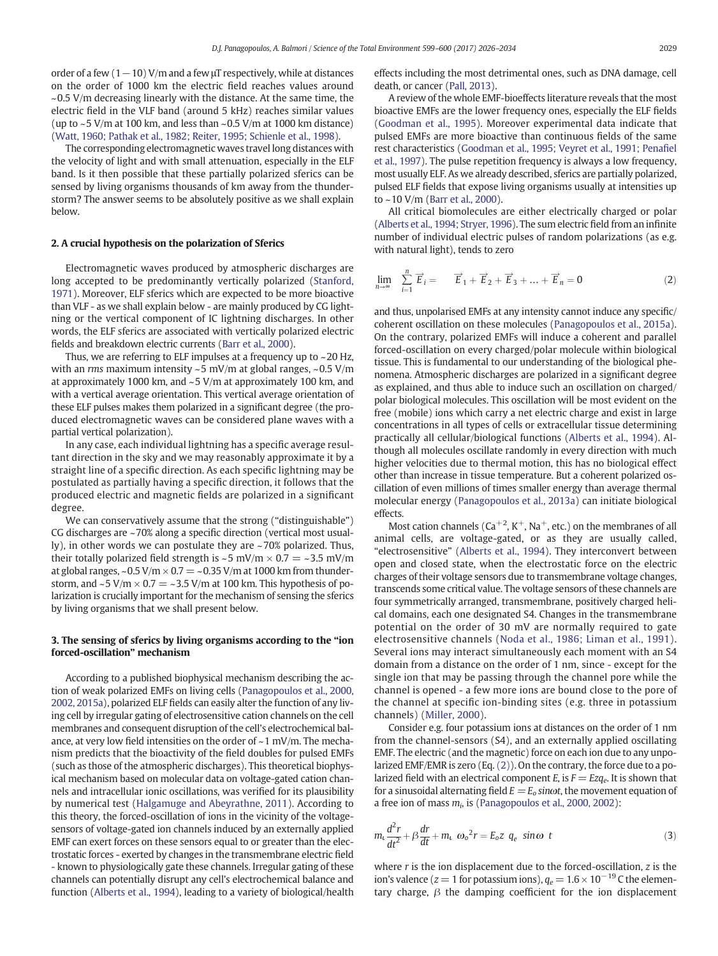order of a few  $(1-10)$  V/m and a few  $\mu$ T respectively, while at distances on the order of 1000 km the electric field reaches values around  $\sim$  0.5 V/m decreasing linearly with the distance. At the same time, the electric field in the VLF band (around 5 kHz) reaches similar values (up to  $\sim$  5 V/m at 100 km, and less than  $\sim$  0.5 V/m at 1000 km distance) [\(Watt, 1960; Pathak et al., 1982; Reiter, 1995; Schienle et al., 1998\)](#page-8-0).

The corresponding electromagnetic waves travel long distances with the velocity of light and with small attenuation, especially in the ELF band. Is it then possible that these partially polarized sferics can be sensed by living organisms thousands of km away from the thunderstorm? The answer seems to be absolutely positive as we shall explain below.

#### 2. A crucial hypothesis on the polarization of Sferics

Electromagnetic waves produced by atmospheric discharges are long accepted to be predominantly vertically polarized [\(Stanford,](#page-8-0) [1971\)](#page-8-0). Moreover, ELF sferics which are expected to be more bioactive than VLF - as we shall explain below - are mainly produced by CG lightning or the vertical component of IC lightning discharges. In other words, the ELF sferics are associated with vertically polarized electric fields and breakdown electric currents [\(Barr et al., 2000\)](#page-7-0).

Thus, we are referring to ELF impulses at a frequency up to  $\sim$  20 Hz, with an *rms* maximum intensity  $\sim$  5 mV/m at global ranges,  $\sim$  0.5 V/m at approximately 1000 km, and ~5 V/m at approximately 100 km, and with a vertical average orientation. This vertical average orientation of these ELF pulses makes them polarized in a significant degree (the produced electromagnetic waves can be considered plane waves with a partial vertical polarization).

In any case, each individual lightning has a specific average resultant direction in the sky and we may reasonably approximate it by a straight line of a specific direction. As each specific lightning may be postulated as partially having a specific direction, it follows that the produced electric and magnetic fields are polarized in a significant degree.

We can conservatively assume that the strong ("distinguishable") CG discharges are ~70% along a specific direction (vertical most usually), in other words we can postulate they are ~70% polarized. Thus, their totally polarized field strength is  $\sim$  5 mV/m  $\times$  0.7 =  $\sim$ 3.5 mV/m at global ranges,  $\sim$  0.5 V/m  $\times$  0.7 =  $\sim$  0.35 V/m at 1000 km from thunderstorm, and  $\sim$  5 V/m  $\times$  0.7 =  $\sim$  3.5 V/m at 100 km. This hypothesis of polarization is crucially important for the mechanism of sensing the sferics by living organisms that we shall present below.

#### 3. The sensing of sferics by living organisms according to the "ion forced-oscillation" mechanism

According to a published biophysical mechanism describing the action of weak polarized EMFs on living cells [\(Panagopoulos et al., 2000,](#page-7-0) [2002, 2015a](#page-7-0)), polarized ELF fields can easily alter the function of any living cell by irregular gating of electrosensitive cation channels on the cell membranes and consequent disruption of the cell's electrochemical balance, at very low field intensities on the order of  $\sim$  1 mV/m. The mechanism predicts that the bioactivity of the field doubles for pulsed EMFs (such as those of the atmospheric discharges). This theoretical biophysical mechanism based on molecular data on voltage-gated cation channels and intracellular ionic oscillations, was verified for its plausibility by numerical test [\(Halgamuge and Abeyrathne, 2011\)](#page-7-0). According to this theory, the forced-oscillation of ions in the vicinity of the voltagesensors of voltage-gated ion channels induced by an externally applied EMF can exert forces on these sensors equal to or greater than the electrostatic forces - exerted by changes in the transmembrane electric field - known to physiologically gate these channels. Irregular gating of these channels can potentially disrupt any cell's electrochemical balance and function [\(Alberts et al., 1994](#page-7-0)), leading to a variety of biological/health effects including the most detrimental ones, such as DNA damage, cell death, or cancer ([Pall, 2013](#page-7-0)).

A review of the whole EMF-bioeffects literature reveals that the most bioactive EMFs are the lower frequency ones, especially the ELF fields [\(Goodman et al., 1995](#page-7-0)). Moreover experimental data indicate that pulsed EMFs are more bioactive than continuous fields of the same rest characteristics ([Goodman et al., 1995; Veyret et al., 1991; Pena](#page-7-0)fiel [et al., 1997](#page-7-0)). The pulse repetition frequency is always a low frequency, most usually ELF. As we already described, sferics are partially polarized, pulsed ELF fields that expose living organisms usually at intensities up to ~10 V/m ([Barr et al., 2000](#page-7-0)).

All critical biomolecules are either electrically charged or polar [\(Alberts et al., 1994; Stryer, 1996\)](#page-7-0). The sum electric field from an infinite number of individual electric pulses of random polarizations (as e.g. with natural light), tends to zero

$$
\lim_{n \to \infty} \sum_{i=1}^{n} \vec{E}_i = \vec{E}_1 + \vec{E}_2 + \vec{E}_3 + \dots + \vec{E}_n = 0
$$
 (2)

and thus, unpolarised EMFs at any intensity cannot induce any specific/ coherent oscillation on these molecules ([Panagopoulos et al., 2015a](#page-8-0)). On the contrary, polarized EMFs will induce a coherent and parallel forced-oscillation on every charged/polar molecule within biological tissue. This is fundamental to our understanding of the biological phenomena. Atmospheric discharges are polarized in a significant degree as explained, and thus able to induce such an oscillation on charged/ polar biological molecules. This oscillation will be most evident on the free (mobile) ions which carry a net electric charge and exist in large concentrations in all types of cells or extracellular tissue determining practically all cellular/biological functions [\(Alberts et al., 1994](#page-7-0)). Although all molecules oscillate randomly in every direction with much higher velocities due to thermal motion, this has no biological effect other than increase in tissue temperature. But a coherent polarized oscillation of even millions of times smaller energy than average thermal molecular energy [\(Panagopoulos et al., 2013a](#page-7-0)) can initiate biological effects.

Most cation channels ( $Ca^{+2}$ , K<sup>+</sup>, Na<sup>+</sup>, etc.) on the membranes of all animal cells, are voltage-gated, or as they are usually called, "electrosensitive" ([Alberts et al., 1994](#page-7-0)). They interconvert between open and closed state, when the electrostatic force on the electric charges of their voltage sensors due to transmembrane voltage changes, transcends some critical value. The voltage sensors of these channels are four symmetrically arranged, transmembrane, positively charged helical domains, each one designated S4. Changes in the transmembrane potential on the order of 30 mV are normally required to gate electrosensitive channels ([Noda et al., 1986; Liman et al., 1991\)](#page-7-0). Several ions may interact simultaneously each moment with an S4 domain from a distance on the order of 1 nm, since - except for the single ion that may be passing through the channel pore while the channel is opened - a few more ions are bound close to the pore of the channel at specific ion-binding sites (e.g. three in potassium channels) ([Miller, 2000](#page-7-0)).

Consider e.g. four potassium ions at distances on the order of 1 nm from the channel-sensors (S4), and an externally applied oscillating EMF. The electric (and the magnetic) force on each ion due to any unpolarized EMF/EMR is zero (Eq. (2)). On the contrary, the force due to a polarized field with an electrical component E, is  $F = \text{Ezq}_e$ . It is shown that for a sinusoidal alternating field  $E = E_0 sin\omega t$ , the movement equation of a free ion of mass  $m_i$ , is [\(Panagopoulos et al., 2000, 2002\)](#page-7-0):

$$
m_{\iota} \frac{d^2 r}{dt^2} + \beta \frac{dr}{dt} + m_{\iota} \omega_o^2 r = E_o z \ q_e \sin \omega t \tag{3}
$$

where r is the ion displacement due to the forced-oscillation, z is the ion's valence ( $z = 1$  for potassium ions),  $q_e = 1.6 \times 10^{-19}$  C the elementary charge,  $\beta$  the damping coefficient for the ion displacement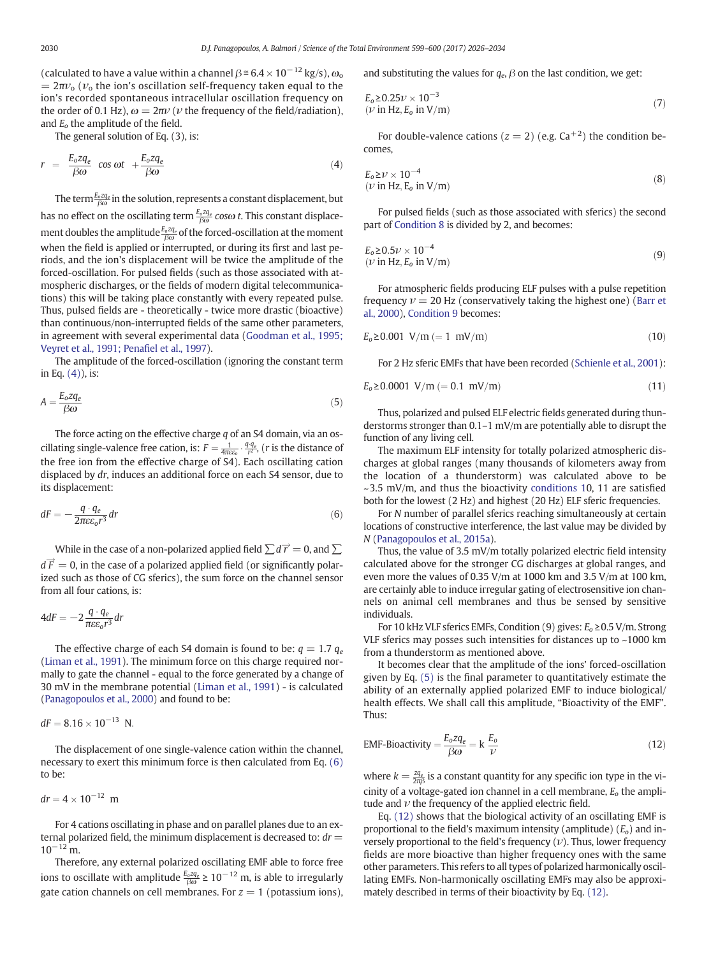(calculated to have a value within a channel  $\beta \approx 6.4 \times 10^{-12}$  kg/s),  $\omega_0$  $= 2\pi v_0$  ( $v_0$  the ion's oscillation self-frequency taken equal to the ion's recorded spontaneous intracellular oscillation frequency on the order of 0.1 Hz),  $\omega = 2\pi \nu$  (*v* the frequency of the field/radiation), and  $E_0$  the amplitude of the field.

The general solution of Εq. (3), is:

$$
r = \frac{E_0 z q_e}{\beta \omega} \cos \omega t + \frac{E_0 z q_e}{\beta \omega} \tag{4}
$$

The term $\frac{E_o z q_e}{\beta \omega}$  in the solution, represents a constant displacement, but has no effect on the oscillating term  $\frac{E_o z q_e}{\beta \omega}$  cos $\omega$  t. This constant displacement doubles the amplitude $\frac{E_o z q_e}{\beta \omega}$  of the forced-oscillation at the moment when the field is applied or interrupted, or during its first and last periods, and the ion's displacement will be twice the amplitude of the forced-oscillation. For pulsed fields (such as those associated with atmospheric discharges, or the fields of modern digital telecommunications) this will be taking place constantly with every repeated pulse. Thus, pulsed fields are - theoretically - twice more drastic (bioactive) than continuous/non-interrupted fields of the same other parameters, in agreement with several experimental data [\(Goodman et al., 1995;](#page-7-0) [Veyret et al., 1991; Pena](#page-7-0)fiel et al., 1997).

The amplitude of the forced-oscillation (ignoring the constant term in Eq. (4)), is:

$$
A = \frac{E_0 z q_e}{\beta \omega} \tag{5}
$$

The force acting on the effective charge  $q$  of an S4 domain, via an oscillating single-valence free cation, is:  $F = \frac{1}{4\pi\epsilon\epsilon_0} \cdot \frac{q \cdot q_e}{r^2}$ , (*r* is the distance of the free ion from the effective charge of S4). Each oscillating cation displaced by dr, induces an additional force on each S4 sensor, due to its displacement:

$$
dF = -\frac{q \cdot q_e}{2\pi \varepsilon \varepsilon_0 r^3} dr \tag{6}
$$

While in the case of a non-polarized applied field  $\sum d\vec{r} = 0$ , and  $\sum$  $d\vec{F} = 0$ , in the case of a polarized applied field (or significantly polarized such as those of CG sferics), the sum force on the channel sensor from all four cations, is:

$$
4dF = -2\frac{q \cdot q_e}{\pi \varepsilon \varepsilon_o r^3} dr
$$

The effective charge of each S4 domain is found to be:  $q = 1.7 q_e$ [\(Liman et al., 1991](#page-7-0)). The minimum force on this charge required normally to gate the channel - equal to the force generated by a change of 30 mV in the membrane potential ([Liman et al., 1991\)](#page-7-0) - is calculated [\(Panagopoulos et al., 2000](#page-7-0)) and found to be:

$$
dF = 8.16 \times 10^{-13} \text{ N}.
$$

The displacement of one single-valence cation within the channel, necessary to exert this minimum force is then calculated from Eq. (6) to be:

 $dr = 4 \times 10^{-12}$  m

For 4 cations oscillating in phase and on parallel planes due to an external polarized field, the minimum displacement is decreased to:  $dr =$  $10^{-12}$  m.

Therefore, any external polarized oscillating EMF able to force free ions to oscillate with amplitude  $\frac{E_o z q_e}{\beta \omega} \geq 10^{-12}$  m, is able to irregularly gate cation channels on cell membranes. For  $z = 1$  (potassium ions), and substituting the values for  $q_e$ ,  $\beta$  on the last condition, we get:

$$
E_0 \ge 0.25\nu \times 10^{-3}
$$
  
(*ν* in Hz,  $E_0$  in V/m) (7)

For double-valence cations ( $z = 2$ ) (e.g.  $Ca^{+2}$ ) the condition becomes,

$$
E_0 \ge \nu \times 10^{-4}
$$
  
( $\nu$  in Hz, E<sub>0</sub> in V/m) (8)

For pulsed fields (such as those associated with sferics) the second part of Condition 8 is divided by 2, and becomes:

$$
E_0 \ge 0.5 \nu \times 10^{-4}
$$
  
(*u* in Hz,  $E_0$  in V/m) (9)

For atmospheric fields producing ELF pulses with a pulse repetition frequency  $v = 20$  Hz (conservatively taking the highest one) [\(Barr et](#page-7-0) [al., 2000](#page-7-0)), Condition 9 becomes:

$$
E_0 \ge 0.001 \, \text{V/m} \, (= 1 \, \text{mV/m}) \tag{10}
$$

For 2 Hz sferic EMFs that have been recorded [\(Schienle et al., 2001\)](#page-8-0):

$$
E_0 \ge 0.0001 \, \text{V/m} \ (= 0.1 \, \text{mV/m}) \tag{11}
$$

Thus, polarized and pulsed ELF electric fields generated during thunderstorms stronger than 0.1–1 mV/m are potentially able to disrupt the function of any living cell.

The maximum ELF intensity for totally polarized atmospheric discharges at global ranges (many thousands of kilometers away from the location of a thunderstorm) was calculated above to be ~3.5 mV/m, and thus the bioactivity [conditions 10](#page-1-0), 11 are satisfied both for the lowest (2 Hz) and highest (20 Hz) ELF sferic frequencies.

For N number of parallel sferics reaching simultaneously at certain locations of constructive interference, the last value may be divided by N ([Panagopoulos et al., 2015a\)](#page-8-0).

Thus, the value of 3.5 mV/m totally polarized electric field intensity calculated above for the stronger CG discharges at global ranges, and even more the values of 0.35 V/m at 1000 km and 3.5 V/m at 100 km, are certainly able to induce irregular gating of electrosensitive ion channels on animal cell membranes and thus be sensed by sensitive individuals.

For 10 kHz VLF sferics EMFs, Condition (9) gives:  $E_0 \ge 0.5$  V/m. Strong VLF sferics may posses such intensities for distances up to ~1000 km from a thunderstorm as mentioned above.

It becomes clear that the amplitude of the ions' forced-oscillation given by Eq. (5) is the final parameter to quantitatively estimate the ability of an externally applied polarized EMF to induce biological/ health effects. We shall call this amplitude, "Bioactivity of the EMF". Thus:

$$
EMF-Bioactivity = \frac{E_0 z q_e}{\beta \omega} = k \frac{E_0}{\nu}
$$
 (12)

where  $k = \frac{zq_e}{2\pi\beta}$  is a constant quantity for any specific ion type in the vicinity of a voltage-gated ion channel in a cell membrane,  $E<sub>o</sub>$  the amplitude and  $\nu$  the frequency of the applied electric field.

Eq. (12) shows that the biological activity of an oscillating EMF is proportional to the field's maximum intensity (amplitude)  $(E_0)$  and inversely proportional to the field's frequency  $(v)$ . Thus, lower frequency fields are more bioactive than higher frequency ones with the same other parameters. This refers to all types of polarized harmonically oscillating EMFs. Non-harmonically oscillating EMFs may also be approximately described in terms of their bioactivity by Eq. (12).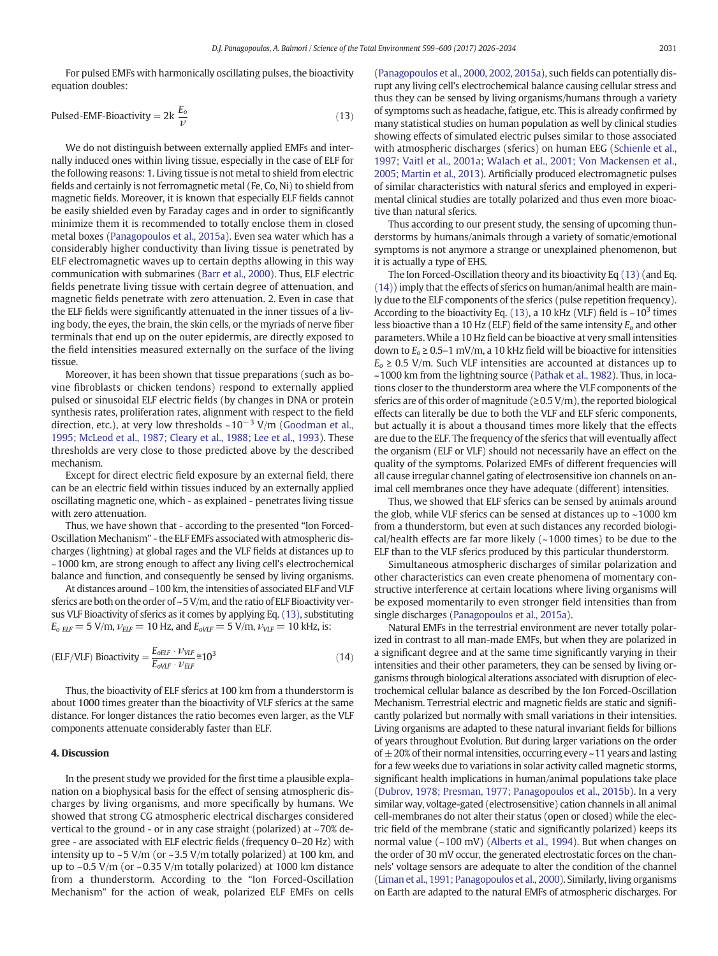For pulsed EMFs with harmonically oscillating pulses, the bioactivity equation doubles:

$$
Pulsed-EMF-Bioactivity = 2k \frac{E_o}{\nu}
$$
\n(13)

We do not distinguish between externally applied EMFs and internally induced ones within living tissue, especially in the case of ELF for the following reasons: 1. Living tissue is not metal to shield from electric fields and certainly is not ferromagnetic metal (Fe, Co, Ni) to shield from magnetic fields. Moreover, it is known that especially ELF fields cannot be easily shielded even by Faraday cages and in order to significantly minimize them it is recommended to totally enclose them in closed metal boxes ([Panagopoulos et al., 2015a\)](#page-8-0). Even sea water which has a considerably higher conductivity than living tissue is penetrated by ELF electromagnetic waves up to certain depths allowing in this way communication with submarines [\(Barr et al., 2000](#page-7-0)). Thus, ELF electric fields penetrate living tissue with certain degree of attenuation, and magnetic fields penetrate with zero attenuation. 2. Even in case that the ELF fields were significantly attenuated in the inner tissues of a living body, the eyes, the brain, the skin cells, or the myriads of nerve fiber terminals that end up on the outer epidermis, are directly exposed to the field intensities measured externally on the surface of the living tissue.

Moreover, it has been shown that tissue preparations (such as bovine fibroblasts or chicken tendons) respond to externally applied pulsed or sinusoidal ELF electric fields (by changes in DNA or protein synthesis rates, proliferation rates, alignment with respect to the field direction, etc.), at very low thresholds ~10<sup>-3</sup> V/m [\(Goodman et al.,](#page-7-0) [1995; McLeod et al., 1987; Cleary et al., 1988; Lee et al., 1993](#page-7-0)). These thresholds are very close to those predicted above by the described mechanism.

Except for direct electric field exposure by an external field, there can be an electric field within tissues induced by an externally applied oscillating magnetic one, which - as explained - penetrates living tissue with zero attenuation.

Thus, we have shown that - according to the presented "Ion Forced-Oscillation Mechanism" - the ELF EMFs associated with atmospheric discharges (lightning) at global rages and the VLF fields at distances up to ~1000 km, are strong enough to affect any living cell's electrochemical balance and function, and consequently be sensed by living organisms.

At distances around ~100 km, the intensities of associated ELF and VLF sferics are both on the order of ~5 V/m, and the ratio of ELF Bioactivity versus VLF Bioactivity of sferics as it comes by applying Eq. (13), substituting  $E_{o E L F} = 5$  V/m,  $v_{E L F} = 10$  Hz, and  $E_{o V L F} = 5$  V/m,  $v_{V L F} = 10$  kHz, is:

(ELF/VIF) Bioactivity 
$$
=\frac{E_{oEIF} \cdot \nu_{VIF}}{E_{oVIF} \cdot \nu_{EIF}} \approx 10^3
$$
 (14)

Thus, the bioactivity of ELF sferics at 100 km from a thunderstorm is about 1000 times greater than the bioactivity of VLF sferics at the same distance. For longer distances the ratio becomes even larger, as the VLF components attenuate considerably faster than ELF.

#### 4. Discussion

In the present study we provided for the first time a plausible explanation on a biophysical basis for the effect of sensing atmospheric discharges by living organisms, and more specifically by humans. We showed that strong CG atmospheric electrical discharges considered vertical to the ground - or in any case straight (polarized) at  $\sim$  70% degree - are associated with ELF electric fields (frequency 0–20 Hz) with intensity up to  $\sim$  5 V/m (or  $\sim$  3.5 V/m totally polarized) at 100 km, and up to  $\sim$  0.5 V/m (or  $\sim$  0.35 V/m totally polarized) at 1000 km distance from a thunderstorm. According to the "Ion Forced-Oscillation Mechanism" for the action of weak, polarized ELF EMFs on cells [\(Panagopoulos et al., 2000, 2002, 2015a\)](#page-7-0), such fields can potentially disrupt any living cell's electrochemical balance causing cellular stress and thus they can be sensed by living organisms/humans through a variety of symptoms such as headache, fatigue, etc. This is already confirmed by many statistical studies on human population as well by clinical studies showing effects of simulated electric pulses similar to those associated with atmospheric discharges (sferics) on human EEG ([Schienle et al.,](#page-8-0) [1997; Vaitl et al., 2001a; Walach et al., 2001; Von Mackensen et al.,](#page-8-0) [2005; Martin et al., 2013](#page-8-0)). Artificially produced electromagnetic pulses of similar characteristics with natural sferics and employed in experimental clinical studies are totally polarized and thus even more bioactive than natural sferics.

Thus according to our present study, the sensing of upcoming thunderstorms by humans/animals through a variety of somatic/emotional symptoms is not anymore a strange or unexplained phenomenon, but it is actually a type of EHS.

The Ion Forced-Oscillation theory and its bioactivity Eq (13) (and Eq. (14)) imply that the effects of sferics on human/animal health are mainly due to the ELF components of the sferics (pulse repetition frequency). According to the bioactivity Eq. (13), a 10 kHz (VLF) field is  $\sim 10^3$  times less bioactive than a 10 Hz (ELF) field of the same intensity  $E_0$  and other parameters.While a 10 Hz field can be bioactive at very small intensities down to  $E_0 \ge 0.5$ –1 mV/m, a 10 kHz field will be bioactive for intensities  $E_0 \geq 0.5$  V/m. Such VLF intensities are accounted at distances up to  $\sim$  1000 km from the lightning source ([Pathak et al., 1982\)](#page-8-0). Thus, in locations closer to the thunderstorm area where the VLF components of the sferics are of this order of magnitude ( $\geq$  0.5 V/m), the reported biological effects can literally be due to both the VLF and ELF sferic components, but actually it is about a thousand times more likely that the effects are due to the ELF. The frequency of the sferics that will eventually affect the organism (ELF or VLF) should not necessarily have an effect on the quality of the symptoms. Polarized EMFs of different frequencies will all cause irregular channel gating of electrosensitive ion channels on animal cell membranes once they have adequate (different) intensities.

Thus, we showed that ELF sferics can be sensed by animals around the glob, while VLF sferics can be sensed at distances up to  $\sim$  1000 km from a thunderstorm, but even at such distances any recorded biological/health effects are far more likely  $(-1000$  times) to be due to the ELF than to the VLF sferics produced by this particular thunderstorm.

Simultaneous atmospheric discharges of similar polarization and other characteristics can even create phenomena of momentary constructive interference at certain locations where living organisms will be exposed momentarily to even stronger field intensities than from single discharges [\(Panagopoulos et al., 2015a](#page-8-0)).

Natural EMFs in the terrestrial environment are never totally polarized in contrast to all man-made EMFs, but when they are polarized in a significant degree and at the same time significantly varying in their intensities and their other parameters, they can be sensed by living organisms through biological alterations associated with disruption of electrochemical cellular balance as described by the Ion Forced-Oscillation Mechanism. Terrestrial electric and magnetic fields are static and significantly polarized but normally with small variations in their intensities. Living organisms are adapted to these natural invariant fields for billions of years throughout Evolution. But during larger variations on the order of  $\pm$  20% of their normal intensities, occurring every ~11 years and lasting for a few weeks due to variations in solar activity called magnetic storms, significant health implications in human/animal populations take place [\(Dubrov, 1978; Presman, 1977; Panagopoulos et al., 2015b](#page-7-0)). In a very similar way, voltage-gated (electrosensitive) cation channels in all animal cell-membranes do not alter their status (open or closed) while the electric field of the membrane (static and significantly polarized) keeps its normal value (~100 mV) [\(Alberts et al., 1994](#page-7-0)). But when changes on the order of 30 mV occur, the generated electrostatic forces on the channels' voltage sensors are adequate to alter the condition of the channel [\(Liman et al., 1991; Panagopoulos et al., 2000](#page-7-0)). Similarly, living organisms on Earth are adapted to the natural EMFs of atmospheric discharges. For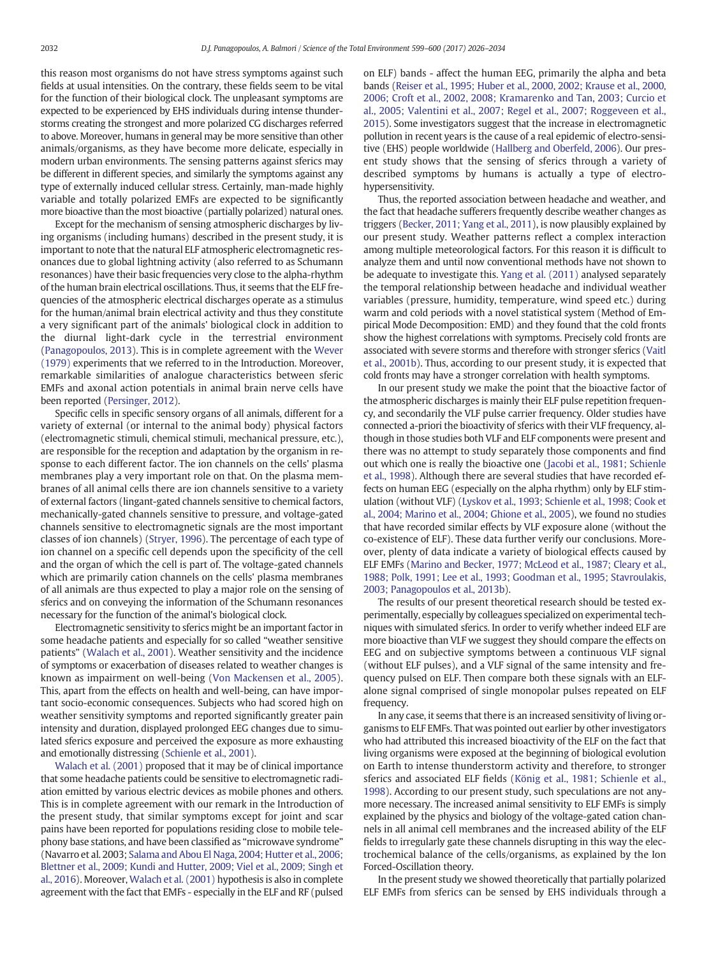this reason most organisms do not have stress symptoms against such fields at usual intensities. On the contrary, these fields seem to be vital for the function of their biological clock. The unpleasant symptoms are expected to be experienced by EHS individuals during intense thunderstorms creating the strongest and more polarized CG discharges referred to above. Moreover, humans in general may be more sensitive than other animals/organisms, as they have become more delicate, especially in modern urban environments. The sensing patterns against sferics may be different in different species, and similarly the symptoms against any type of externally induced cellular stress. Certainly, man-made highly variable and totally polarized EMFs are expected to be significantly more bioactive than the most bioactive (partially polarized) natural ones.

Except for the mechanism of sensing atmospheric discharges by living organisms (including humans) described in the present study, it is important to note that the natural ELF atmospheric electromagnetic resonances due to global lightning activity (also referred to as Schumann resonances) have their basic frequencies very close to the alpha-rhythm of the human brain electrical oscillations. Thus, it seems that the ELF frequencies of the atmospheric electrical discharges operate as a stimulus for the human/animal brain electrical activity and thus they constitute a very significant part of the animals' biological clock in addition to the diurnal light-dark cycle in the terrestrial environment [\(Panagopoulos, 2013](#page-7-0)). This is in complete agreement with the [Wever](#page-8-0) [\(1979\)](#page-8-0) experiments that we referred to in the Introduction. Moreover, remarkable similarities of analogue characteristics between sferic EMFs and axonal action potentials in animal brain nerve cells have been reported [\(Persinger, 2012](#page-8-0)).

Specific cells in specific sensory organs of all animals, different for a variety of external (or internal to the animal body) physical factors (electromagnetic stimuli, chemical stimuli, mechanical pressure, etc.), are responsible for the reception and adaptation by the organism in response to each different factor. The ion channels on the cells' plasma membranes play a very important role on that. On the plasma membranes of all animal cells there are ion channels sensitive to a variety of external factors (lingant-gated channels sensitive to chemical factors, mechanically-gated channels sensitive to pressure, and voltage-gated channels sensitive to electromagnetic signals are the most important classes of ion channels) ([Stryer, 1996](#page-8-0)). The percentage of each type of ion channel on a specific cell depends upon the specificity of the cell and the organ of which the cell is part of. The voltage-gated channels which are primarily cation channels on the cells' plasma membranes of all animals are thus expected to play a major role on the sensing of sferics and on conveying the information of the Schumann resonances necessary for the function of the animal's biological clock.

Electromagnetic sensitivity to sferics might be an important factor in some headache patients and especially for so called "weather sensitive patients" ([Walach et al., 2001\)](#page-8-0). Weather sensitivity and the incidence of symptoms or exacerbation of diseases related to weather changes is known as impairment on well-being ([Von Mackensen et al., 2005](#page-8-0)). This, apart from the effects on health and well-being, can have important socio-economic consequences. Subjects who had scored high on weather sensitivity symptoms and reported significantly greater pain intensity and duration, displayed prolonged EEG changes due to simulated sferics exposure and perceived the exposure as more exhausting and emotionally distressing [\(Schienle et al., 2001\)](#page-8-0).

[Walach et al. \(2001\)](#page-8-0) proposed that it may be of clinical importance that some headache patients could be sensitive to electromagnetic radiation emitted by various electric devices as mobile phones and others. This is in complete agreement with our remark in the Introduction of the present study, that similar symptoms except for joint and scar pains have been reported for populations residing close to mobile telephony base stations, and have been classified as "microwave syndrome" (Navarro et al. 2003; [Salama and Abou El Naga, 2004; Hutter et al., 2006;](#page-8-0) [Blettner et al., 2009; Kundi and Hutter, 2009; Viel et al., 2009; Singh et](#page-8-0) [al., 2016\)](#page-8-0). Moreover, [Walach et al. \(2001\)](#page-8-0) hypothesis is also in complete agreement with the fact that EMFs - especially in the ELF and RF (pulsed on ELF) bands - affect the human EEG, primarily the alpha and beta bands ([Reiser et al., 1995; Huber et al., 2000, 2002; Krause et al., 2000,](#page-8-0) [2006; Croft et al., 2002, 2008; Kramarenko and Tan, 2003; Curcio et](#page-8-0) [al., 2005; Valentini et al., 2007; Regel et al., 2007; Roggeveen et al.,](#page-8-0) [2015\)](#page-8-0). Some investigators suggest that the increase in electromagnetic pollution in recent years is the cause of a real epidemic of electro-sensitive (EHS) people worldwide [\(Hallberg and Oberfeld, 2006](#page-7-0)). Our present study shows that the sensing of sferics through a variety of described symptoms by humans is actually a type of electrohypersensitivity.

Thus, the reported association between headache and weather, and the fact that headache sufferers frequently describe weather changes as triggers [\(Becker, 2011; Yang et al., 2011](#page-7-0)), is now plausibly explained by our present study. Weather patterns reflect a complex interaction among multiple meteorological factors. For this reason it is difficult to analyze them and until now conventional methods have not shown to be adequate to investigate this. [Yang et al. \(2011\)](#page-8-0) analysed separately the temporal relationship between headache and individual weather variables (pressure, humidity, temperature, wind speed etc.) during warm and cold periods with a novel statistical system (Method of Empirical Mode Decomposition: EMD) and they found that the cold fronts show the highest correlations with symptoms. Precisely cold fronts are associated with severe storms and therefore with stronger sferics [\(Vaitl](#page-8-0) [et al., 2001b](#page-8-0)). Thus, according to our present study, it is expected that cold fronts may have a stronger correlation with health symptoms.

In our present study we make the point that the bioactive factor of the atmospheric discharges is mainly their ELF pulse repetition frequency, and secondarily the VLF pulse carrier frequency. Older studies have connected a-priori the bioactivity of sferics with their VLF frequency, although in those studies both VLF and ELF components were present and there was no attempt to study separately those components and find out which one is really the bioactive one [\(Jacobi et al., 1981; Schienle](#page-7-0) [et al., 1998\)](#page-7-0). Although there are several studies that have recorded effects on human EEG (especially on the alpha rhythm) only by ELF stimulation (without VLF) ([Lyskov et al., 1993; Schienle et al., 1998; Cook et](#page-7-0) [al., 2004; Marino et al., 2004; Ghione et al., 2005](#page-7-0)), we found no studies that have recorded similar effects by VLF exposure alone (without the co-existence of ELF). These data further verify our conclusions. Moreover, plenty of data indicate a variety of biological effects caused by ELF EMFs ([Marino and Becker, 1977; McLeod et al., 1987; Cleary et al.,](#page-7-0) [1988; Polk, 1991; Lee et al., 1993; Goodman et al., 1995; Stavroulakis,](#page-7-0) [2003; Panagopoulos et al., 2013b\)](#page-7-0).

The results of our present theoretical research should be tested experimentally, especially by colleagues specialized on experimental techniques with simulated sferics. In order to verify whether indeed ELF are more bioactive than VLF we suggest they should compare the effects on EEG and on subjective symptoms between a continuous VLF signal (without ELF pulses), and a VLF signal of the same intensity and frequency pulsed on ELF. Then compare both these signals with an ELFalone signal comprised of single monopolar pulses repeated on ELF frequency.

In any case, it seems that there is an increased sensitivity of living organisms to ELF EMFs. That was pointed out earlier by other investigators who had attributed this increased bioactivity of the ELF on the fact that living organisms were exposed at the beginning of biological evolution on Earth to intense thunderstorm activity and therefore, to stronger sferics and associated ELF fields [\(König et al., 1981; Schienle et al.,](#page-7-0) [1998\)](#page-7-0). According to our present study, such speculations are not anymore necessary. The increased animal sensitivity to ELF EMFs is simply explained by the physics and biology of the voltage-gated cation channels in all animal cell membranes and the increased ability of the ELF fields to irregularly gate these channels disrupting in this way the electrochemical balance of the cells/organisms, as explained by the Ion Forced-Oscillation theory.

In the present study we showed theoretically that partially polarized ELF EMFs from sferics can be sensed by EHS individuals through a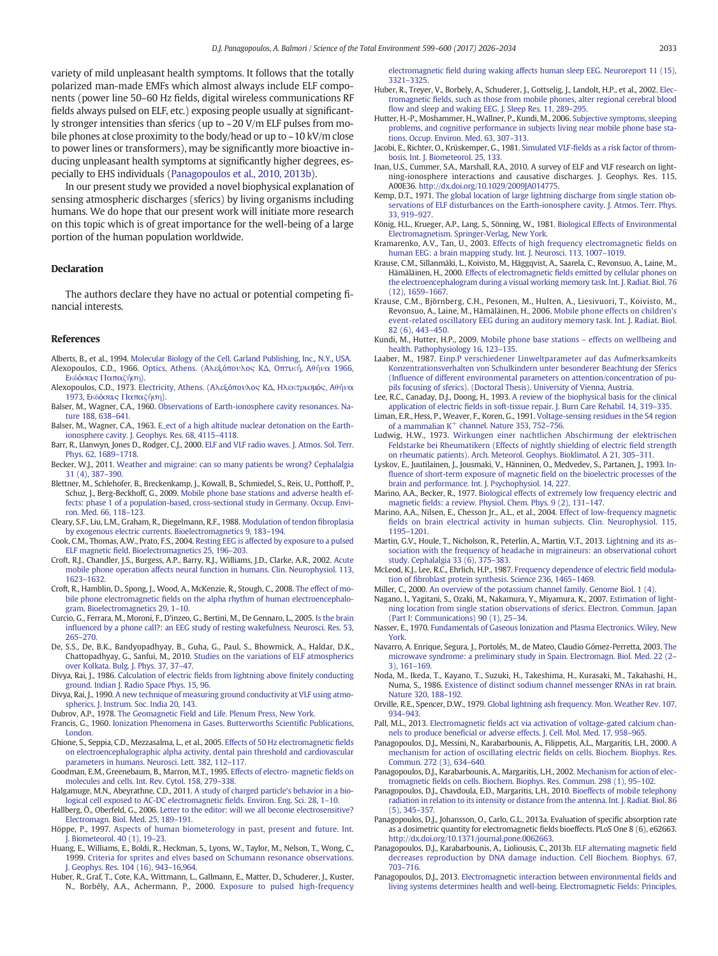<span id="page-7-0"></span>variety of mild unpleasant health symptoms. It follows that the totally polarized man-made EMFs which almost always include ELF components (power line 50–60 Hz fields, digital wireless communications RF fields always pulsed on ELF, etc.) exposing people usually at significantly stronger intensities than sferics (up to ~20 V/m ELF pulses from mobile phones at close proximity to the body/head or up to ~10 kV/m close to power lines or transformers), may be significantly more bioactive inducing unpleasant health symptoms at significantly higher degrees, especially to EHS individuals (Panagopoulos et al., 2010, 2013b).

In our present study we provided a novel biophysical explanation of sensing atmospheric discharges (sferics) by living organisms including humans. We do hope that our present work will initiate more research on this topic which is of great importance for the well-being of a large portion of the human population worldwide.

### Declaration

The authors declare they have no actual or potential competing financial interests.

#### References

Alberts, B., et al., 1994. [Molecular Biology of the Cell. Garland Publishing, Inc., N.Y., USA](http://refhub.elsevier.com/S0048-9697(17)31189-0/rf0005). Alexopoulos, C.D., 1966. Optics, Athens. ([Αλεξόπουλος ΚΔ](http://refhub.elsevier.com/S0048-9697(17)31189-0/rf0010), Οπτική, Αθήνα 1966, [Εκδόσεις Παπαζήση](http://refhub.elsevier.com/S0048-9697(17)31189-0/rf0010)).

- Alexopoulos, C.D., 1973. [Electricity, Athens. \(](http://refhub.elsevier.com/S0048-9697(17)31189-0/rf0015)Αλεξόπουλος ΚΔ, Ηλεκτρισμός, Αθήνα 1973, [Εκδόσεις Παπαζήση](http://refhub.elsevier.com/S0048-9697(17)31189-0/rf0015)).
- Balser, M., Wagner, C.A., 1960. [Observations of Earth-ionosphere cavity resonances. Na](http://refhub.elsevier.com/S0048-9697(17)31189-0/rf0020)[ture 188, 638](http://refhub.elsevier.com/S0048-9697(17)31189-0/rf0020)–641.
- Balser, M., Wagner, C.A., 1963. [E\\_ect of a high altitude nuclear detonation on the Earth](http://refhub.elsevier.com/S0048-9697(17)31189-0/rf0025)[ionosphere cavity. J. Geophys. Res. 68, 4115](http://refhub.elsevier.com/S0048-9697(17)31189-0/rf0025)–4118.
- Barr, R., Llanwyn, Jones D., Rodger, C.J., 2000. [ELF and VLF radio waves. J. Atmos. Sol. Terr.](http://refhub.elsevier.com/S0048-9697(17)31189-0/rf0030) [Phys. 62, 1689](http://refhub.elsevier.com/S0048-9697(17)31189-0/rf0030)–1718.
- Becker, W.J., 2011. [Weather and migraine: can so many patients be wrong? Cephalalgia](http://refhub.elsevier.com/S0048-9697(17)31189-0/rf0035) [31 \(4\), 387](http://refhub.elsevier.com/S0048-9697(17)31189-0/rf0035)–390.
- Blettner, M., Schlehofer, B., Breckenkamp, J., Kowall, B., Schmiedel, S., Reis, U., Potthoff, P., Schuz, J., Berg-Beckhoff, G., 2009. [Mobile phone base stations and adverse health ef](http://refhub.elsevier.com/S0048-9697(17)31189-0/rf0040)[fects: phase 1 of a population-based, cross-sectional study in Germany. Occup. Envi](http://refhub.elsevier.com/S0048-9697(17)31189-0/rf0040)[ron. Med. 66, 118](http://refhub.elsevier.com/S0048-9697(17)31189-0/rf0040)–123.
- Cleary, S.F., Liu, L.M., Graham, R., Diegelmann, R.F., 1988. [Modulation of tendon](http://refhub.elsevier.com/S0048-9697(17)31189-0/rf0045) fibroplasia [by exogenous electric currents. Bioelectromagnetics 9, 183](http://refhub.elsevier.com/S0048-9697(17)31189-0/rf0045)–194.
- Cook, C.M., Thomas, A.W., Prato, F.S., 2004. [Resting EEG is affected by exposure to a pulsed](http://refhub.elsevier.com/S0048-9697(17)31189-0/rf0050) ELF magnetic fi[eld. Bioelectromagnetics 25, 196](http://refhub.elsevier.com/S0048-9697(17)31189-0/rf0050)–203.
- Croft, R.J., Chandler, J.S., Burgess, A.P., Barry, R.J., Williams, J.D., Clarke, A.R., 2002. [Acute](http://refhub.elsevier.com/S0048-9697(17)31189-0/rf0055) [mobile phone operation affects neural function in humans. Clin. Neurophysiol. 113,](http://refhub.elsevier.com/S0048-9697(17)31189-0/rf0055) [1623](http://refhub.elsevier.com/S0048-9697(17)31189-0/rf0055)–1632.
- Croft, R., Hamblin, D., Spong, J., Wood, A., McKenzie, R., Stough, C., 2008. [The effect of mo](http://refhub.elsevier.com/S0048-9697(17)31189-0/rf0060)bile phone electromagnetic fi[elds on the alpha rhythm of human electroencephalo](http://refhub.elsevier.com/S0048-9697(17)31189-0/rf0060)[gram. Bioelectromagnetics 29, 1](http://refhub.elsevier.com/S0048-9697(17)31189-0/rf0060)–10.
- Curcio, G., Ferrara, M., Moroni, F., D'inzeo, G., Bertini, M., De Gennaro, L., 2005. [Is the brain](http://refhub.elsevier.com/S0048-9697(17)31189-0/rf0065) infl[uenced by a phone call?: an EEG study of resting wakefulness. Neurosci. Res. 53,](http://refhub.elsevier.com/S0048-9697(17)31189-0/rf0065) [265](http://refhub.elsevier.com/S0048-9697(17)31189-0/rf0065)–270.
- De, S.S., De, B.K., Bandyopadhyay, B., Guha, G., Paul, S., Bhowmick, A., Haldar, D.K., Chattopadhyay, G., Sanfui, M., 2010. [Studies on the variations of ELF atmospherics](http://refhub.elsevier.com/S0048-9697(17)31189-0/rf0070) [over Kolkata. Bulg. J. Phys. 37, 37](http://refhub.elsevier.com/S0048-9697(17)31189-0/rf0070)–47.
- Divya, Rai, J., 1986. Calculation of electric fi[elds from lightning above](http://refhub.elsevier.com/S0048-9697(17)31189-0/rf0075) finitely conducting [ground. Indian J. Radio Space Phys. 15, 96](http://refhub.elsevier.com/S0048-9697(17)31189-0/rf0075).
- Divya, Rai, J., 1990. [A new technique of measuring ground conductivity at VLF using atmo](http://refhub.elsevier.com/S0048-9697(17)31189-0/rf0080)[spherics. J. Instrum. Soc. India 20, 143.](http://refhub.elsevier.com/S0048-9697(17)31189-0/rf0080)
- Dubrov, A.P., 1978. [The Geomagnetic Field and Life. Plenum Press, New York](http://refhub.elsevier.com/S0048-9697(17)31189-0/rf0085). Francis, G., 1960. [Ionization Phenomena in Gases. Butterworths Scienti](http://refhub.elsevier.com/S0048-9697(17)31189-0/rf0090)fic Publications, [London.](http://refhub.elsevier.com/S0048-9697(17)31189-0/rf0090)
- Ghione, S., Seppia, C.D., Mezzasalma, L., et al., 2005. [Effects of 50 Hz electromagnetic](http://refhub.elsevier.com/S0048-9697(17)31189-0/rf0095) fields [on electroencephalographic alpha activity, dental pain threshold and cardiovascular](http://refhub.elsevier.com/S0048-9697(17)31189-0/rf0095) [parameters in humans. Neurosci. Lett. 382, 112](http://refhub.elsevier.com/S0048-9697(17)31189-0/rf0095)–117.
- Goodman, E.M., Greenebaum, B., Marron, M.T., 1995. [Effects of electro- magnetic](http://refhub.elsevier.com/S0048-9697(17)31189-0/rf0100) fields on [molecules and cells. Int. Rev. Cytol. 158, 279](http://refhub.elsevier.com/S0048-9697(17)31189-0/rf0100)–338.
- Halgamuge, M.N., Abeyrathne, C.D., 2011. [A study of charged particle's behavior in a bio](http://refhub.elsevier.com/S0048-9697(17)31189-0/rf0105)[logical cell exposed to AC-DC electromagnetic](http://refhub.elsevier.com/S0048-9697(17)31189-0/rf0105) fields. Environ. Eng. Sci. 28, 1–10.
- Hallberg, Ö., Oberfeld, G., 2006. [Letter to the editor: will we all become electrosensitive?](http://refhub.elsevier.com/S0048-9697(17)31189-0/rf0110) [Electromagn. Biol. Med. 25, 189](http://refhub.elsevier.com/S0048-9697(17)31189-0/rf0110)–191.
- Höppe, P., 1997. [Aspects of human biometerology in past, present and future. Int.](http://refhub.elsevier.com/S0048-9697(17)31189-0/rf0115) [J. Biometeorol. 40 \(1\), 19](http://refhub.elsevier.com/S0048-9697(17)31189-0/rf0115)–23.
- Huang, E., Williams, E., Boldi, R., Heckman, S., Lyons, W., Taylor, M., Nelson, T., Wong, C., 1999. [Criteria for sprites and elves based on Schumann resonance observations.](http://refhub.elsevier.com/S0048-9697(17)31189-0/rf0120) [J. Geophys. Res. 104 \(16\), 943](http://refhub.elsevier.com/S0048-9697(17)31189-0/rf0120)–16,964.
- Huber, R., Graf, T., Cote, K.A., Wittmann, L., Gallmann, E., Matter, D., Schuderer, J., Kuster, N., Borbély, A.A., Achermann, P., 2000. [Exposure to pulsed high-frequency](http://refhub.elsevier.com/S0048-9697(17)31189-0/rf0125)

electromagnetic fi[eld during waking affects human sleep EEG. Neuroreport 11 \(15\),](http://refhub.elsevier.com/S0048-9697(17)31189-0/rf0125) [3321](http://refhub.elsevier.com/S0048-9697(17)31189-0/rf0125)–3325.

- Huber, R., Treyer, V., Borbely, A., Schuderer, J., Gottselig, J., Landolt, H.P., et al., 2002. [Elec](http://refhub.elsevier.com/S0048-9697(17)31189-0/rf0130)tromagnetic fi[elds, such as those from mobile phones, alter regional cerebral blood](http://refhub.elsevier.com/S0048-9697(17)31189-0/rf0130) fl[ow and sleep and waking EEG. J. Sleep Res. 11, 289](http://refhub.elsevier.com/S0048-9697(17)31189-0/rf0130)–295.
- Hutter, H.-P., Moshammer, H., Wallner, P., Kundi, M., 2006. [Subjective symptoms, sleeping](http://refhub.elsevier.com/S0048-9697(17)31189-0/rf0135) [problems, and cognitive performance in subjects living near mobile phone base sta](http://refhub.elsevier.com/S0048-9697(17)31189-0/rf0135)[tions. Occup. Environ. Med. 63, 307](http://refhub.elsevier.com/S0048-9697(17)31189-0/rf0135)–313.
- Jacobi, E., Richter, O., Krüskemper, G., 1981. Simulated VLF-fi[elds as a risk factor of throm](http://refhub.elsevier.com/S0048-9697(17)31189-0/rf0140)[bosis. Int. J. Biometeorol. 25, 133](http://refhub.elsevier.com/S0048-9697(17)31189-0/rf0140).
- Inan, U.S., Cummer, S.A., Marshall, R.A., 2010. A survey of ELF and VLF research on lightning-ionosphere interactions and causative discharges. J. Geophys. Res. 115, A00E36. http://dx.doi.org[/10.1029/2009JA014775.](http://dx.doi.org/10.1029/2009JA014775)
- Kemp, D.T., 1971. [The global location of large lightning discharge from single station ob](http://refhub.elsevier.com/S0048-9697(17)31189-0/rf0150)[servations of ELF disturbances on the Earth-ionosphere cavity. J. Atmos. Terr. Phys.](http://refhub.elsevier.com/S0048-9697(17)31189-0/rf0150) [33, 919](http://refhub.elsevier.com/S0048-9697(17)31189-0/rf0150)–927.
- König, H.L., Krueger, A.P., Lang, S., Sönning, W., 1981. [Biological Effects of Environmental](http://refhub.elsevier.com/S0048-9697(17)31189-0/rf0155) [Electromagnetism. Springer-Verlag, New York](http://refhub.elsevier.com/S0048-9697(17)31189-0/rf0155).
- Kramarenko, A.V., Tan, U., 2003. [Effects of high frequency electromagnetic](http://refhub.elsevier.com/S0048-9697(17)31189-0/rf0160) fields on [human EEG: a brain mapping study. Int. J. Neurosci. 113, 1007](http://refhub.elsevier.com/S0048-9697(17)31189-0/rf0160)–1019.
- Krause, C.M., Sillanmäki, L., Koivisto, M., Häggqvist, A., Saarela, C., Revonsuo, A., Laine, M., Hämäläinen, H., 2000. Effects of electromagnetic fi[elds emitted by cellular phones on](http://refhub.elsevier.com/S0048-9697(17)31189-0/rf0165) [the electroencephalogram during a visual working memory task. Int. J. Radiat. Biol. 76](http://refhub.elsevier.com/S0048-9697(17)31189-0/rf0165) [\(12\), 1659](http://refhub.elsevier.com/S0048-9697(17)31189-0/rf0165)–1667.
- Krause, C.M., Björnberg, C.H., Pesonen, M., Hulten, A., Liesivuori, T., Koivisto, M., Revonsuo, A., Laine, M., Hämäläinen, H., 2006. [Mobile phone effects on children's](http://refhub.elsevier.com/S0048-9697(17)31189-0/rf0170) [event-related oscillatory EEG during an auditory memory task. Int. J. Radiat. Biol.](http://refhub.elsevier.com/S0048-9697(17)31189-0/rf0170) [82 \(6\), 443](http://refhub.elsevier.com/S0048-9697(17)31189-0/rf0170)–450.
- Kundi, M., Hutter, H.P., 2009. [Mobile phone base stations](http://refhub.elsevier.com/S0048-9697(17)31189-0/rf0175) effects on wellbeing and [health. Pathophysiology 16, 123](http://refhub.elsevier.com/S0048-9697(17)31189-0/rf0175)–135.
- Laaber, M., 1987. [Einp.P verschiedener Linweltparameter auf das Aufmerksamkeits](http://refhub.elsevier.com/S0048-9697(17)31189-0/rf0180) [Konzentrationsverhalten von Schulkindern unter besonderer Beachtung der Sferics](http://refhub.elsevier.com/S0048-9697(17)31189-0/rf0180) (Infl[uence of different environmental parameters on attention/concentration of pu](http://refhub.elsevier.com/S0048-9697(17)31189-0/rf0180)[pils focusing of sferics\). \(Doctoral Thesis\). University of Vienna, Austria](http://refhub.elsevier.com/S0048-9697(17)31189-0/rf0180).
- Lee, R.C., Canaday, D.J., Doong, H., 1993. [A review of the biophysical basis for the clinical](http://refhub.elsevier.com/S0048-9697(17)31189-0/rf0185) application of electric fi[elds in soft-tissue repair. J. Burn Care Rehabil. 14, 319](http://refhub.elsevier.com/S0048-9697(17)31189-0/rf0185)–335.
- Liman, E.R., Hess, P., Weaver, F., Koren, G., 1991. [Voltage-sensing residues in the S4 region](http://refhub.elsevier.com/S0048-9697(17)31189-0/rf0190) [of](http://refhub.elsevier.com/S0048-9697(17)31189-0/rf0190) [a](http://refhub.elsevier.com/S0048-9697(17)31189-0/rf0190) [mammalian](http://refhub.elsevier.com/S0048-9697(17)31189-0/rf0190)  $K^+$  [channel. Nature 353, 752](http://refhub.elsevier.com/S0048-9697(17)31189-0/rf0190)-756.
- Ludwig, H.W., 1973. [Wirkungen einer nachtlichen Abschirmung der elektrischen](http://refhub.elsevier.com/S0048-9697(17)31189-0/rf0195) [Feldstarke bei Rheumatikern \(Effects of nightly shielding of electric](http://refhub.elsevier.com/S0048-9697(17)31189-0/rf0195) field strength [on rheumatic patients\). Arch. Meteorol. Geophys. Bioklimatol. A 21, 305](http://refhub.elsevier.com/S0048-9697(17)31189-0/rf0195)–311.
- Lyskov, E., Juutilainen, J., Jousmaki, V., Hänninen, O., Medvedev, S., Partanen, J., 1993. [In](http://refhub.elsevier.com/S0048-9697(17)31189-0/rf0200)fl[uence of short-term exposure of magnetic](http://refhub.elsevier.com/S0048-9697(17)31189-0/rf0200) field on the bioelectric processes of the [brain and performance. Int. J. Psychophysiol. 14, 227.](http://refhub.elsevier.com/S0048-9697(17)31189-0/rf0200)
- Marino, A.A., Becker, R., 1977. [Biological effects of extremely low frequency electric and](http://refhub.elsevier.com/S0048-9697(17)31189-0/rf0205) magnetic fi[elds: a review. Physiol. Chem. Phys. 9 \(2\), 131](http://refhub.elsevier.com/S0048-9697(17)31189-0/rf0205)–147.
- Marino, A.A., Nilsen, E., Chesson Jr., A.L., et al., 2004. [Effect of low-frequency magnetic](http://refhub.elsevier.com/S0048-9697(17)31189-0/rf0210) fi[elds on brain electrical activity in human subjects. Clin. Neurophysiol. 115,](http://refhub.elsevier.com/S0048-9697(17)31189-0/rf0210) [1195](http://refhub.elsevier.com/S0048-9697(17)31189-0/rf0210)–1201.
- Martin, G.V., Houle, T., Nicholson, R., Peterlin, A., Martin, V.T., 2013. [Lightning and its as](http://refhub.elsevier.com/S0048-9697(17)31189-0/rf0215)[sociation with the frequency of headache in migraineurs: an observational cohort](http://refhub.elsevier.com/S0048-9697(17)31189-0/rf0215) [study. Cephalalgia 33 \(6\), 375](http://refhub.elsevier.com/S0048-9697(17)31189-0/rf0215)–383.
- McLeod, K.J., Lee, R.C., Ehrlich, H.P., 1987. [Frequency dependence of electric](http://refhub.elsevier.com/S0048-9697(17)31189-0/rf0220) field modulation of fi[broblast protein synthesis. Science 236, 1465](http://refhub.elsevier.com/S0048-9697(17)31189-0/rf0220)–1469.
- Miller, C., 2000. [An overview of the potassium channel family. Genome Biol. 1 \(4\)](http://refhub.elsevier.com/S0048-9697(17)31189-0/rf0225).
- Nagano, I., Yagitani, S., Ozaki, M., Nakamura, Y., Miyamura, K., 2007. [Estimation of light](http://refhub.elsevier.com/S0048-9697(17)31189-0/rf0230)[ning location from single station observations of sferics. Electron. Commun. Japan](http://refhub.elsevier.com/S0048-9697(17)31189-0/rf0230) [\(Part I: Communications\) 90 \(1\), 25](http://refhub.elsevier.com/S0048-9697(17)31189-0/rf0230)–34.
- Nasser, E., 1970. [Fundamentals of Gaseous Ionization and Plasma Electronics. Wiley, New](http://refhub.elsevier.com/S0048-9697(17)31189-0/rf0235) [York.](http://refhub.elsevier.com/S0048-9697(17)31189-0/rf0235)
- Navarro, A. Enrique, Segura, J., Portolés, M., de Mateo, Claudio Gómez-Perretta, 2003. [The](http://refhub.elsevier.com/S0048-9697(17)31189-0/rf0240) [microwave syndrome: a preliminary study in Spain. Electromagn. Biol. Med. 22 \(2](http://refhub.elsevier.com/S0048-9697(17)31189-0/rf0240)– [3\), 161](http://refhub.elsevier.com/S0048-9697(17)31189-0/rf0240)–169.
- Noda, M., Ikeda, T., Kayano, T., Suzuki, H., Takeshima, H., Kurasaki, M., Takahashi, H., Numa, S., 1986. [Existence of distinct sodium channel messenger RNAs in rat brain.](http://refhub.elsevier.com/S0048-9697(17)31189-0/rf0250) [Nature 320, 188](http://refhub.elsevier.com/S0048-9697(17)31189-0/rf0250)–192.
- Orville, R.E., Spencer, D.W., 1979. [Global lightning ash frequency. Mon. Weather Rev. 107,](http://refhub.elsevier.com/S0048-9697(17)31189-0/rf0255) [934](http://refhub.elsevier.com/S0048-9697(17)31189-0/rf0255)–943.
- Pall, M.L., 2013. Electromagnetic fi[elds act via activation of voltage-gated calcium chan](http://refhub.elsevier.com/S0048-9697(17)31189-0/rf9000)nels to produce benefi[cial or adverse effects. J. Cell. Mol. Med. 17, 958](http://refhub.elsevier.com/S0048-9697(17)31189-0/rf9000)–965.
- Panagopoulos, D.J., Messini, N., Karabarbounis, A., Filippetis, A.L., Margaritis, L.H., 2000. [A](http://refhub.elsevier.com/S0048-9697(17)31189-0/rf0260) [mechanism for action of oscillating electric](http://refhub.elsevier.com/S0048-9697(17)31189-0/rf0260) fields on cells. Biochem. Biophys. Res. [Commun. 272 \(3\), 634](http://refhub.elsevier.com/S0048-9697(17)31189-0/rf0260)–640.
- Panagopoulos, D.J., Karabarbounis, A., Margaritis, L.H., 2002. [Mechanism for action of elec](http://refhub.elsevier.com/S0048-9697(17)31189-0/rf0265)tromagnetic fi[elds on cells. Biochem. Biophys. Res. Commun. 298 \(1\), 95](http://refhub.elsevier.com/S0048-9697(17)31189-0/rf0265)–102.
- Panagopoulos, D.J., Chavdoula, E.D., Margaritis, L.H., 2010. [Bioeffects of mobile telephony](http://refhub.elsevier.com/S0048-9697(17)31189-0/rf0270) [radiation in relation to its intensity or distance from the antenna. Int. J. Radiat. Biol. 86](http://refhub.elsevier.com/S0048-9697(17)31189-0/rf0270) [\(5\), 345](http://refhub.elsevier.com/S0048-9697(17)31189-0/rf0270)–357.
- Panagopoulos, D.J., Johansson, O., Carlo, G.L., 2013a. Evaluation of specific absorption rate as a dosimetric quantity for electromagnetic fields bioeffects. PLoS One 8 (6), e62663. http://dx.doi.org[/10.1371/journal.pone.0062663](http://dx.doi.org/10.1371/journal.pone.0062663).
- Panagopoulos, D.J., Karabarbounis, A., Lioliousis, C., 2013b. [ELF alternating magnetic](http://refhub.elsevier.com/S0048-9697(17)31189-0/rf0280) field [decreases reproduction by DNA damage induction. Cell Biochem. Biophys. 67,](http://refhub.elsevier.com/S0048-9697(17)31189-0/rf0280) [703](http://refhub.elsevier.com/S0048-9697(17)31189-0/rf0280)–716.
- Panagopoulos, D.J., 2013. [Electromagnetic interaction between environmental](http://refhub.elsevier.com/S0048-9697(17)31189-0/rf0285) fields and [living systems determines health and well-being. Electromagnetic Fields: Principles,](http://refhub.elsevier.com/S0048-9697(17)31189-0/rf0285)